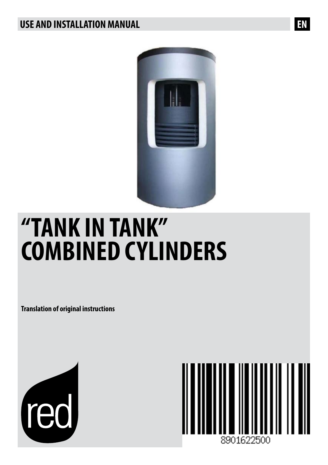# **USE AND INSTALLATION MANUAL EN**



# **"TANK IN TANK" COMBINED CYLINDERS**

**Translation of original instructions**



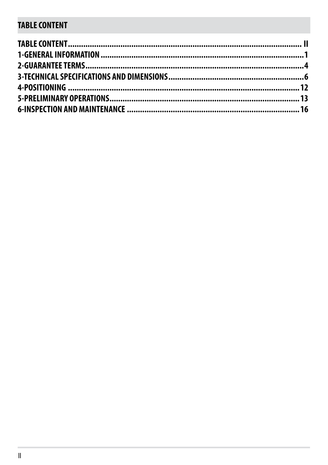# **TABLE CONTENT**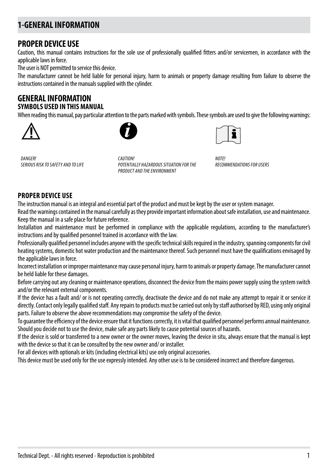# **1-GENERAL INFORMATION**

### **PROPER DEVICE USE**

Caution, this manual contains instructions for the sole use of professionally qualified fitters and/or servicemen, in accordance with the applicable laws in force.

The user is NOT permitted to service this device.

The manufacturer cannot be held liable for personal injury, harm to animals or property damage resulting from failure to observe the instructions contained in the manuals supplied with the cylinder.

### **GENERAL INFORMATION SYMBOLS USED IN THIS MANUAL**

When reading this manual, pay particular attention to the parts marked with symbols. These symbols are used to give the following warnings:







*DANGER! SERIOUS RISK TO SAFETY AND TO LIFE*

*CAUTION! POTENTIALLY HAZARDOUS SITUATION FOR THE PRODUCT AND THE ENVIRONMENT*

*NOTE! RECOMMENDATIONS FOR USERS* 

### **PROPER DEVICE USE**

The instruction manual is an integral and essential part of the product and must be kept by the user or system manager.

Read the warnings contained in the manual carefully as they provide important information about safe installation, use and maintenance. Keep the manual in a safe place for future reference.

Installation and maintenance must be performed in compliance with the applicable regulations, according to the manufacturer's instructions and by qualified personnel trained in accordance with the law.

Professionally qualified personnel includes anyone with the specific technical skills required in the industry, spanning components for civil heating systems, domestic hot water production and the maintenance thereof. Such personnel must have the qualifications envisaged by the applicable laws in force.

Incorrect installation or improper maintenance may cause personal injury, harm to animals or property damage. The manufacturer cannot be held liable for these damages.

Before carrying out any cleaning or maintenance operations, disconnect the device from the mains power supply using the system switch and/or the relevant external components.

If the device has a fault and/ or is not operating correctly, deactivate the device and do not make any attempt to repair it or service it directly. Contact only legally qualified staff. Any repairs to products must be carried out only by staff authorised by RED, using only original parts. Failure to observe the above recommendations may compromise the safety of the device.

To guarantee the efficiency of the device ensure that it functions correctly, it is vital that qualified personnel performs annual maintenance. Should you decide not to use the device, make safe any parts likely to cause potential sources of hazards.

If the device is sold or transferred to a new owner or the owner moves, leaving the device in situ, always ensure that the manual is kept with the device so that it can be consulted by the new owner and/ or installer.

For all devices with optionals or kits (including electrical kits) use only original accessories.

This device must be used only for the use expressly intended. Any other use is to be considered incorrect and therefore dangerous.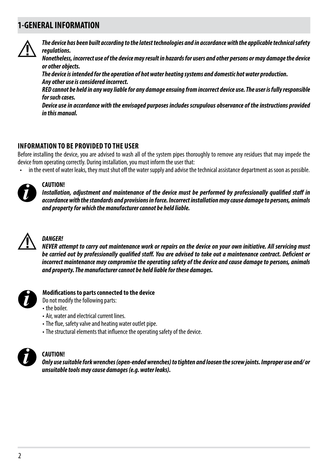### **1-GENERAL INFORMATION**



*The device has been built according to the latest technologies and in accordance with the applicable technical safety regulations.*

*Nonetheless, incorrect use of the device may result in hazards for users and other persons or may damage the device or other objects.*

*The device is intended for the operation of hot water heating systems and domestic hot water production. Any other use is considered incorrect.*

*RED cannot be held in any way liable for any damage ensuing from incorrect device use. The user is fully responsible for such cases.*

*Device use in accordance with the envisaged purposes includes scrupulous observance of the instructions provided in this manual.*

### **INFORMATION TO BE PROVIDED TO THE USER**

Before installing the device, you are advised to wash all of the system pipes thoroughly to remove any residues that may impede the device from operating correctly. During installation, you must inform the user that:

• in the event of water leaks, they must shut off the water supply and advise the technical assistance department as soon as possible.



### **CAUTION!**

*Installation, adjustment and maintenance of the device must be performed by professionally qualified staff in accordance with the standards and provisions in force. Incorrect installation may cause damage to persons, animals and property for which the manufacturer cannot be held liable.*



### *DANGER!*

*NEVER attempt to carry out maintenance work or repairs on the device on your own initiative. All servicing must be carried out by professionally qualified staff. You are advised to take out a maintenance contract. Deficient or incorrect maintenance may compromise the operating safety of the device and cause damage to persons, animals and property. The manufacturer cannot be held liable for these damages.*



### **Modifications to parts connected to the device**

- Do not modify the following parts:
- the boiler.
- Air, water and electrical current lines.
- The flue, safety valve and heating water outlet pipe.
- The structural elements that influence the operating safety of the device.



#### **CAUTION!**

*Only use suitable fork wrenches (open-ended wrenches) to tighten and loosen the screw joints. Improper use and/ or unsuitable tools may cause damages (e.g. water leaks).*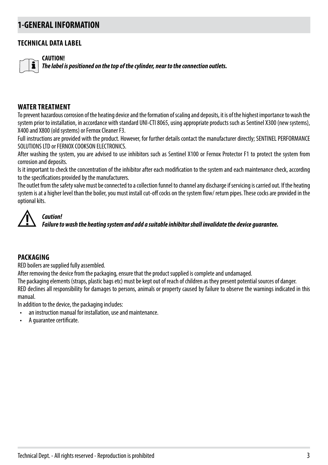### **1-GENERAL INFORMATION**

### **TECHNICAL DATA LABEL**

**CAUTION!**

*The label is positioned on the top of the cylinder, near to the connection outlets.*

### **WATER TREATMENT**

To prevent hazardous corrosion of the heating device and the formation of scaling and deposits, it is of the highest importance to wash the system prior to installation, in accordance with standard UNI-CTI 8065, using appropriate products such as Sentinel X300 (new systems), X400 and X800 (old systems) or Fernox Cleaner F3.

Full instructions are provided with the product. However, for further details contact the manufacturer directly; SENTINEL PERFORMANCE SOLUTIONS LTD or FERNOX COOKSON ELECTRONICS.

After washing the system, you are advised to use inhibitors such as Sentinel X100 or Fernox Protector F1 to protect the system from corrosion and deposits.

Is it important to check the concentration of the inhibitor after each modification to the system and each maintenance check, according to the specifications provided by the manufacturers.

The outlet from the safety valve must be connected to a collection funnel to channel any discharge if servicing is carried out. If the heating system is at a higher level than the boiler, you must install cut-off cocks on the system flow/ return pipes. These cocks are provided in the optional kits.



### *Caution!*

*Failure to wash the heating system and add a suitable inhibitor shall invalidate the device guarantee.*

#### **PACKAGING**

RED boilers are supplied fully assembled.

After removing the device from the packaging, ensure that the product supplied is complete and undamaged.

The packaging elements (straps, plastic bags etc) must be kept out of reach of children as they present potential sources of danger.

RED declines all responsibility for damages to persons, animals or property caused by failure to observe the warnings indicated in this manual.

In addition to the device, the packaging includes:

- an instruction manual for installation, use and maintenance.
- A guarantee certificate.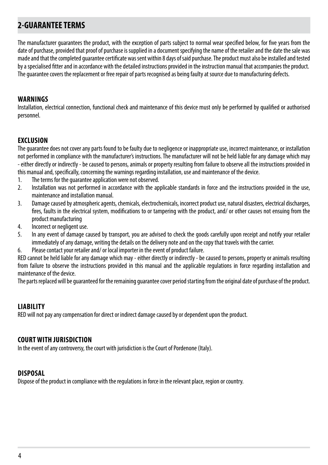# **2-GUARANTEE TERMS**

The manufacturer guarantees the product, with the exception of parts subject to normal wear specified below, for five years from the date of purchase, provided that proof of purchase is supplied in a document specifying the name of the retailer and the date the sale was made and that the completed guarantee certificate was sent within 8 days of said purchase. The product must also be installed and tested by a specialised fitter and in accordance with the detailed instructions provided in the instruction manual that accompanies the product. The guarantee covers the replacement or free repair of parts recognised as being faulty at source due to manufacturing defects.

### **WARNINGS**

Installation, electrical connection, functional check and maintenance of this device must only be performed by qualified or authorised personnel.

### **EXCLUSION**

The guarantee does not cover any parts found to be faulty due to negligence or inappropriate use, incorrect maintenance, or installation not performed in compliance with the manufacturer's instructions. The manufacturer will not be held liable for any damage which may - either directly or indirectly - be caused to persons, animals or property resulting from failure to observe all the instructions provided in this manual and, specifically, concerning the warnings regarding installation, use and maintenance of the device.

- 1. The terms for the guarantee application were not observed.<br>2. Installation was not performed in accordance with the ap
- 2. Installation was not performed in accordance with the applicable standards in force and the instructions provided in the use, maintenance and installation manual.
- 3. Damage caused by atmospheric agents, chemicals, electrochemicals, incorrect product use, natural disasters, electrical discharges, fires, faults in the electrical system, modifications to or tampering with the product, and/ or other causes not ensuing from the product manufacturing
- 4. Incorrect or negligent use.
- 5. In any event of damage caused by transport, you are advised to check the goods carefully upon receipt and notify your retailer immediately of any damage, writing the details on the delivery note and on the copy that travels with the carrier.
- 6. Please contact your retailer and/ or local importer in the event of product failure.

RED cannot be held liable for any damage which may - either directly or indirectly - be caused to persons, property or animals resulting from failure to observe the instructions provided in this manual and the applicable regulations in force regarding installation and maintenance of the device.

The parts replaced will be guaranteed for the remaining guarantee cover period starting from the original date of purchase of the product.

### **LIABILITY**

RED will not pay any compensation for direct or indirect damage caused by or dependent upon the product.

### **COURT WITH JURISDICTION**

In the event of any controversy, the court with jurisdiction is the Court of Pordenone (Italy).

#### **DISPOSAL**

Dispose of the product in compliance with the regulations in force in the relevant place, region or country.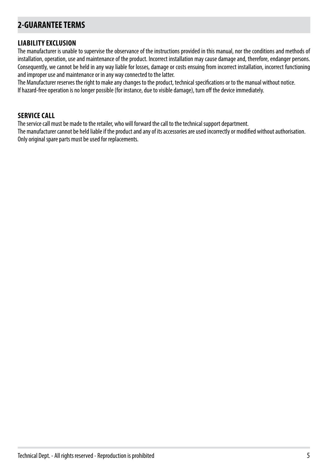# **2-GUARANTEE TERMS**

### **LIABILITY EXCLUSION**

The manufacturer is unable to supervise the observance of the instructions provided in this manual, nor the conditions and methods of installation, operation, use and maintenance of the product. Incorrect installation may cause damage and, therefore, endanger persons. Consequently, we cannot be held in any way liable for losses, damage or costs ensuing from incorrect installation, incorrect functioning and improper use and maintenance or in any way connected to the latter.

The Manufacturer reserves the right to make any changes to the product, technical specifications or to the manual without notice. If hazard-free operation is no longer possible (for instance, due to visible damage), turn off the device immediately.

### **SERVICE CALL**

The service call must be made to the retailer, who will forward the call to the technical support department.

The manufacturer cannot be held liable if the product and any of its accessories are used incorrectly or modified without authorisation. Only original spare parts must be used for replacements.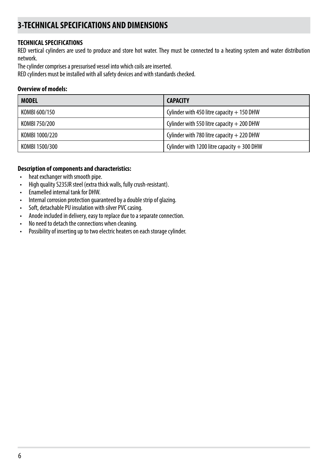### **TECHNICAL SPECIFICATIONS**

RED vertical cylinders are used to produce and store hot water. They must be connected to a heating system and water distribution network.

The cylinder comprises a pressurised vessel into which coils are inserted.

RED cylinders must be installed with all safety devices and with standards checked.

#### **Overview of models:**

| <b>MODEL</b>   | <b>CAPACITY</b>                              |
|----------------|----------------------------------------------|
| KOMBI 600/150  | Cylinder with 450 litre capacity $+$ 150 DHW |
| KOMBI 750/200  | Cylinder with 550 litre capacity $+$ 200 DHW |
| KOMBI 1000/220 | Cylinder with 780 litre capacity $+220$ DHW  |
| KOMBI 1500/300 | Cylinder with 1200 litre capacity $+300$ DHW |

### **Description of components and characteristics:**

- heat exchanger with smooth pipe.
- High quality S235JR steel (extra thick walls, fully crush-resistant).
- Enamelled internal tank for DHW.
- Internal corrosion protection guaranteed by a double strip of glazing.
- Soft, detachable PU insulation with silver PVC casing.
- Anode included in delivery, easy to replace due to a separate connection.
- No need to detach the connections when cleaning.
- Possibility of inserting up to two electric heaters on each storage cylinder.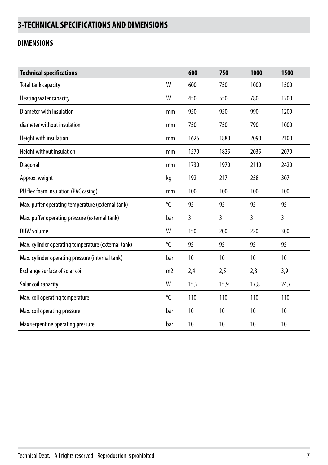### **DIMENSIONS**

| <b>Technical specifications</b>                     |                | 600  | 750            | 1000 | 1500 |
|-----------------------------------------------------|----------------|------|----------------|------|------|
| Total tank capacity                                 | W              | 600  | 750            | 1000 | 1500 |
| Heating water capacity                              | W              | 450  | 550            | 780  | 1200 |
| Diameter with insulation                            | mm             | 950  | 950            | 990  | 1200 |
| diameter without insulation                         | mm             | 750  | 750            | 790  | 1000 |
| Height with insulation                              | mm             | 1625 | 1880           | 2090 | 2100 |
| Height without insulation                           | mm             | 1570 | 1825           | 2035 | 2070 |
| Diagonal                                            | mm             | 1730 | 1970           | 2110 | 2420 |
| Approx. weight                                      | kg             | 192  | 217            | 258  | 307  |
| PU flex foam insulation (PVC casing)                | mm             | 100  | 100            | 100  | 100  |
| Max. puffer operating temperature (external tank)   | $\mathcal{C}$  | 95   | 95             | 95   | 95   |
| Max. puffer operating pressure (external tank)      | bar            | 3    | $\overline{3}$ | 3    | 3    |
| DHW volume                                          | W              | 150  | 200            | 220  | 300  |
| Max. cylinder operating temperature (external tank) | $\mathcal{C}$  | 95   | 95             | 95   | 95   |
| Max. cylinder operating pressure (internal tank)    | bar            | 10   | 10             | 10   | 10   |
| Exchange surface of solar coil                      | m <sub>2</sub> | 2,4  | 2,5            | 2,8  | 3,9  |
| Solar coil capacity                                 | W              | 15,2 | 15,9           | 17,8 | 24,7 |
| Max. coil operating temperature                     | $\overline{C}$ | 110  | 110            | 110  | 110  |
| Max. coil operating pressure                        | bar            | 10   | 10             | 10   | 10   |
| Max serpentine operating pressure                   | bar            | 10   | 10             | 10   | 10   |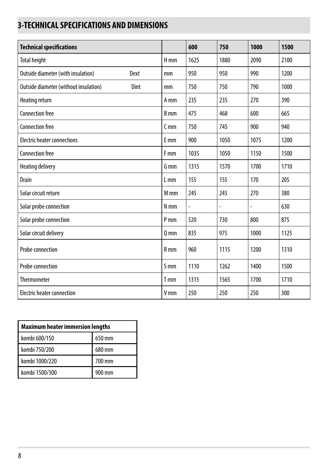| <b>Technical specifications</b>       |      |                 | 600                          | 750  | 1000 | 1500 |
|---------------------------------------|------|-----------------|------------------------------|------|------|------|
| <b>Total height</b>                   |      | H <sub>mm</sub> | 1625                         | 1880 | 2090 | 2100 |
| Outside diameter (with insulation)    | Dext | mm              | 950                          | 950  | 990  | 1200 |
| Outside diameter (without insulation) | Dint | mm              | 750                          | 750  | 790  | 1000 |
| Heating return                        |      | A mm            | 235                          | 235  | 270  | 390  |
| <b>Connection free</b>                |      | B <sub>mm</sub> | 475                          | 468  | 600  | 665  |
| <b>Connection free</b>                |      | C <sub>mm</sub> | 750                          | 745  | 900  | 940  |
| <b>Electric heater connections</b>    |      | <b>E</b> mm     | 900                          | 1050 | 1075 | 1200 |
| <b>Connection free</b>                |      | F <sub>mm</sub> | 1035                         | 1050 | 1150 | 1500 |
| Heating delivery                      |      | G <sub>mm</sub> | 1315                         | 1570 | 1700 | 1710 |
| <b>Drain</b>                          |      | $L$ mm          | 155                          | 155  | 170  | 205  |
| Solar circuit return                  |      | M <sub>mm</sub> | 245                          | 245  | 270  | 380  |
| Solar probe connection                |      | N <sub>mm</sub> | $\qquad \qquad \blacksquare$ | -    | ÷    | 630  |
| Solar probe connection                |      | P <sub>mm</sub> | 520                          | 730  | 800  | 875  |
| Solar circuit delivery                |      | $Q$ mm          | 835                          | 975  | 1000 | 1125 |
| Probe connection                      |      | $R$ mm          | 960                          | 1115 | 1200 | 1310 |
| Probe connection                      |      | <b>S</b> mm     | 1110                         | 1262 | 1400 | 1500 |
| <b>Thermometer</b>                    |      | T <sub>mm</sub> | 1315                         | 1565 | 1700 | 1710 |
| Electric heater connection            |      | V <sub>mm</sub> | 250                          | 250  | 250  | 300  |

| <b>Maximum heater immersion lengths</b> |        |  |  |  |
|-----------------------------------------|--------|--|--|--|
| kombi 600/150                           | 650 mm |  |  |  |
| kombi 750/200                           | 680 mm |  |  |  |
| kombi 1000/220                          | 700 mm |  |  |  |
| kombi 1500/300                          | 900 mm |  |  |  |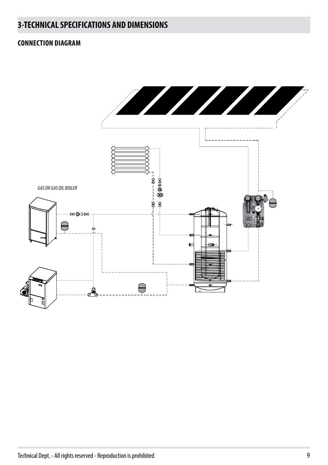### **CONNECTION DIAGRAM**

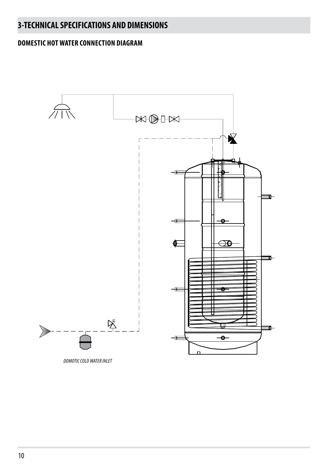### **DOMESTIC HOT WATER CONNECTION DIAGRAM**

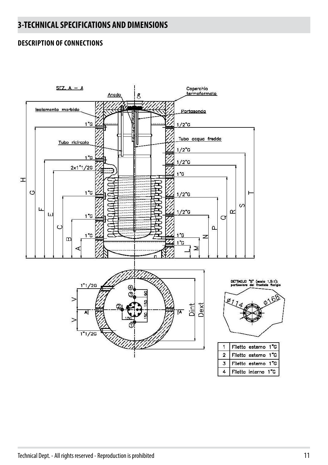### **DESCRIPTION OF CONNECTIONS**

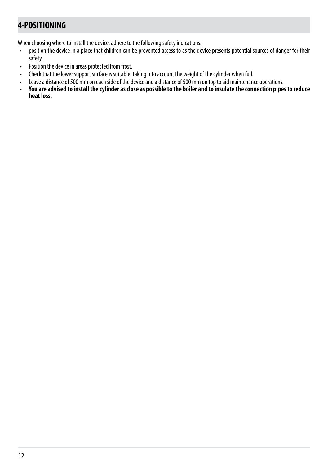# **4-POSITIONING**

When choosing where to install the device, adhere to the following safety indications:

- position the device in a place that children can be prevented access to as the device presents potential sources of danger for their safety.
- Position the device in areas protected from frost.
- Check that the lower support surface is suitable, taking into account the weight of the cylinder when full.
- Leave a distance of 500 mm on each side of the device and a distance of 500 mm on top to aid maintenance operations.<br>• You are advised to install the cylinder as close as possible to the boiler and to insulate the connec
- **You are advised to install the cylinder as close as possible to the boiler and to insulate the connection pipes to reduce heat loss.**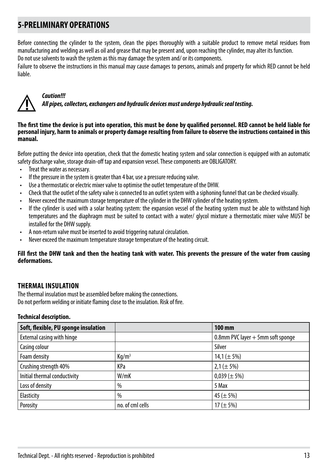# **5-PRELIMINARY OPERATIONS**

Before connecting the cylinder to the system, clean the pipes thoroughly with a suitable product to remove metal residues from manufacturing and welding as well as oil and grease that may be present and, upon reaching the cylinder, may alter its function.

Do not use solvents to wash the system as this may damage the system and/ or its components.

Failure to observe the instructions in this manual may cause damages to persons, animals and property for which RED cannot be held liable.



### *Caution!!!*

*All pipes, collectors, exchangers and hydraulic devices must undergo hydraulic seal testing.*

#### **The first time the device is put into operation, this must be done by qualified personnel. RED cannot be held liable for personal injury, harm to animals or property damage resulting from failure to observe the instructions contained in this manual.**

Before putting the device into operation, check that the domestic heating system and solar connection is equipped with an automatic safety discharge valve, storage drain-off tap and expansion vessel. These components are OBLIGATORY.

- Treat the water as necessary.
- If the pressure in the system is greater than 4 bar, use a pressure reducing valve.
- Use a thermostatic or electric mixer valve to optimise the outlet temperature of the DHW.
- Check that the outlet of the safety valve is connected to an outlet system with a siphoning funnel that can be checked visually.
- Never exceed the maximum storage temperature of the cylinder in the DHW cylinder of the heating system.
- If the cylinder is used with a solar heating system: the expansion vessel of the heating system must be able to withstand high temperatures and the diaphragm must be suited to contact with a water/ glycol mixture a thermostatic mixer valve MUST be installed for the DHW supply.
- A non-return valve must be inserted to avoid triggering natural circulation.
- Never exceed the maximum temperature storage temperature of the heating circuit.

#### **Fill first the DHW tank and then the heating tank with water. This prevents the pressure of the water from causing deformations.**

### **THERMAL INSULATION**

The thermal insulation must be assembled before making the connections. Do not perform welding or initiate flaming close to the insulation. Risk of fire.

#### **Technical description.**

| Soft, flexible, PU sponge insulation |                   | 100 mm                            |
|--------------------------------------|-------------------|-----------------------------------|
| External casing with hinge           |                   | 0.8mm PVC layer + 5mm soft sponge |
| Casing colour                        |                   | Silver                            |
| Foam density                         | Kq/m <sup>3</sup> | 14,1 ( $\pm$ 5%)                  |
| Crushing strength 40%                | KPa               | $2,1 (\pm 5\%)$                   |
| Initial thermal conductivity         | W/mK              | $0,039 (\pm 5\%)$                 |
| Loss of density                      | $\frac{0}{0}$     | 5 Max                             |
| Elasticity                           | $\frac{0}{0}$     | 45 ( $\pm$ 5%)                    |
| Porosity                             | no. of cml cells  | 17 ( $\pm$ 5%)                    |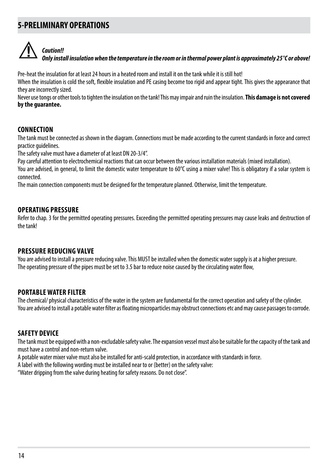### **5-PRELIMINARY OPERATIONS**



### *Caution!!*

*Only install insulation when the temperature in the room or in thermal power plant is approximately 25°C or above!*

Pre-heat the insulation for at least 24 hours in a heated room and install it on the tank while it is still hot!

When the insulation is cold the soft, flexible insulation and PE casing become too rigid and appear tight. This gives the appearance that they are incorrectly sized.

Never use tongs or other tools to tighten the insulation on the tank! This may impair and ruin the insulation. **This damage is not covered by the guarantee.**

### **CONNECTION**

The tank must be connected as shown in the diagram. Connections must be made according to the current standards in force and correct practice guidelines.

The safety valve must have a diameter of at least DN 20-3/4".

Pay careful attention to electrochemical reactions that can occur between the various installation materials (mixed installation).

You are advised, in general, to limit the domestic water temperature to 60°C using a mixer valve! This is obligatory if a solar system is connected.

The main connection components must be designed for the temperature planned. Otherwise, limit the temperature.

### **OPERATING PRESSURE**

Refer to chap. 3 for the permitted operating pressures. Exceeding the permitted operating pressures may cause leaks and destruction of the tank!

### **PRESSURE REDUCING VALVE**

You are advised to install a pressure reducing valve. This MUST be installed when the domestic water supply is at a higher pressure. The operating pressure of the pipes must be set to 3.5 bar to reduce noise caused by the circulating water flow,

### **PORTABLE WATER FILTER**

The chemical/ physical characteristics of the water in the system are fundamental for the correct operation and safety of the cylinder. You are advised to install a potable water filter as floating microparticles may obstruct connections etc and may cause passages to corrode.

### **SAFETY DEVICE**

The tank must be equipped with a non-excludable safety valve. The expansion vessel must also be suitable for the capacity of the tank and must have a control and non-return valve.

A potable water mixer valve must also be installed for anti-scald protection, in accordance with standards in force.

A label with the following wording must be installed near to or (better) on the safety valve:

"Water dripping from the valve during heating for safety reasons. Do not close".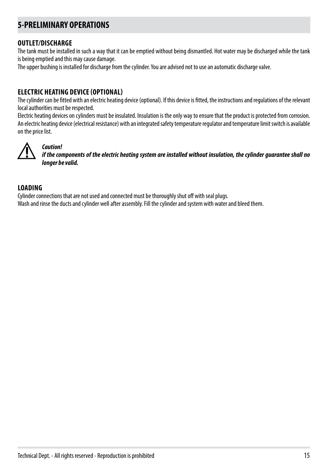# **5-PRELIMINARY OPERATIONS**

### **OUTLET/DISCHARGE**

The tank must be installed in such a way that it can be emptied without being dismantled. Hot water may be discharged while the tank is being emptied and this may cause damage.

The upper bushing is installed for discharge from the cylinder. You are advised not to use an automatic discharge valve.

### **ELECTRIC HEATING DEVICE (OPTIONAL)**

The cylinder can be fitted with an electric heating device (optional). If this device is fitted, the instructions and regulations of the relevant local authorities must be respected.

Electric heating devices on cylinders must be insulated. Insulation is the only way to ensure that the product is protected from corrosion. An electric heating device (electrical resistance) with an integrated safety temperature regulator and temperature limit switch is available on the price list.



### *Caution!*

*if the components of the electric heating system are installed without insulation, the cylinder guarantee shall no longer be valid.*

### **LOADING**

Cylinder connections that are not used and connected must be thoroughly shut off with seal plugs. Wash and rinse the ducts and cylinder well after assembly. Fill the cylinder and system with water and bleed them.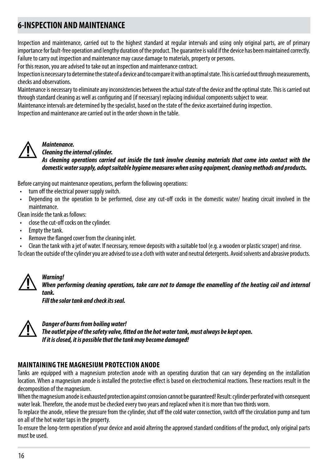# **6-INSPECTION AND MAINTENANCE**

Inspection and maintenance, carried out to the highest standard at regular intervals and using only original parts, are of primary importance for fault-free operation and lengthy duration of the product. The guarantee is valid if the device has been maintained correctly. Failure to carry out inspection and maintenance may cause damage to materials, property or persons.

For this reason, you are advised to take out an inspection and maintenance contract.

Inspection is necessary to determine the state of a device and to compare it with an optimal state. This is carried out through measurements, checks and observations.

Maintenance is necessary to eliminate any inconsistencies between the actual state of the device and the optimal state. This is carried out through standard cleaning as well as configuring and (if necessary) replacing individual components subject to wear.

Maintenance intervals are determined by the specialist, based on the state of the device ascertained during inspection.

Inspection and maintenance are carried out in the order shown in the table.



### *Maintenance.*

#### *Cleaning the internal cylinder.*

*As cleaning operations carried out inside the tank involve cleaning materials that come into contact with the domestic water supply, adopt suitable hygiene measures when using equipment, cleaning methods and products.*

Before carrying out maintenance operations, perform the following operations:

- turn off the electrical power supply switch.
- Depending on the operation to be performed, close any cut-off cocks in the domestic water/ heating circuit involved in the maintenance.

Clean inside the tank as follows:

*Warning!*

- close the cut-off cocks on the cylinder.
- Empty the tank.
- Remove the flanged cover from the cleaning inlet.
- Clean the tank with a jet of water. If necessary, remove deposits with a suitable tool (e.g. a wooden or plastic scraper) and rinse.

To clean the outside of the cylinder you are advised to use a cloth with water and neutral detergents. Avoid solvents and abrasive products.



*When performing cleaning operations, take care not to damage the enamelling of the heating coil and internal tank. Fill the solar tank and check its seal.*

*Danger of burns from boiling water! The outlet pipe of the safety valve, fitted on the hot water tank, must always be kept open.*

*If it is closed, it is possible that the tank may become damaged!*

### **MAINTAINING THE MAGNESIUM PROTECTION ANODE**

Tanks are equipped with a magnesium protection anode with an operating duration that can vary depending on the installation location. When a magnesium anode is installed the protective effect is based on electrochemical reactions. These reactions result in the decomposition of the magnesium.

When the magnesium anode is exhausted protection against corrosion cannot be guaranteed! Result: cylinder perforated with consequent water leak. Therefore, the anode must be checked every two years and replaced when it is more than two thirds worn.

To replace the anode, relieve the pressure from the cylinder, shut off the cold water connection, switch off the circulation pump and turn on all of the hot water taps in the property.

To ensure the long-term operation of your device and avoid altering the approved standard conditions of the product, only original parts must be used.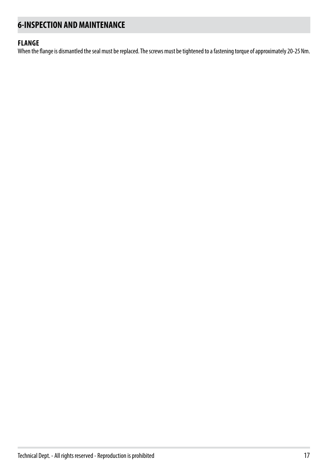# **6-INSPECTION AND MAINTENANCE**

### **FLANGE**

When the flange is dismantled the seal must be replaced. The screws must be tightened to a fastening torque of approximately 20-25 Nm.